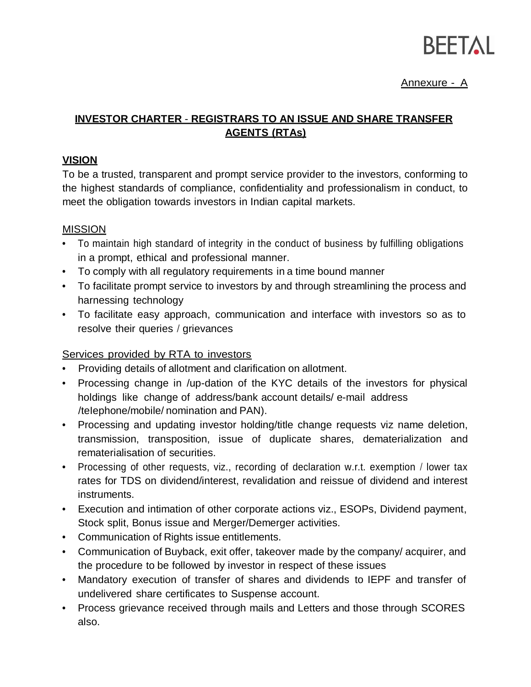

## Annexure - A

# **INVESTOR CHARTER** - **REGISTRARS TO AN ISSUE AND SHARE TRANSFER AGENTS (RTAs)**

### **VISION**

To be a trusted, transparent and prompt service provider to the investors, conforming to the highest standards of compliance, confidentiality and professionalism in conduct, to meet the obligation towards investors in Indian capital markets.

### MISSION

- To maintain high standard of integrity in the conduct of business by fulfilling obligations in a prompt, ethical and professional manner.
- To comply with all regulatory requirements in a time bound manner
- To facilitate prompt service to investors by and through streamlining the process and harnessing technology
- To facilitate easy approach, communication and interface with investors so as to resolve their queries / grievances

## Services provided by RTA to investors

- Providing details of allotment and clarification on allotment.
- Processing change in /up-dation of the KYC details of the investors for physical holdings like change of address/bank account details/ e-mail address /teIephone/mobile/ nomination and PAN).
- Processing and updating investor holding/title change requests viz name deletion, transmission, transposition, issue of duplicate shares, dematerialization and rematerialisation of securities.
- Processing of other requests, viz., recording of declaration w.r.t. exemption / lower tax rates for TDS on dividend/interest, revalidation and reissue of dividend and interest instruments.
- Execution and intimation of other corporate actions viz., ESOPs, Dividend payment, Stock split, Bonus issue and Merger/Demerger activities.
- Communication of Rights issue entitlements.
- Communication of Buyback, exit offer, takeover made by the company/ acquirer, and the procedure to be followed by investor in respect of these issues
- Mandatory execution of transfer of shares and dividends to IEPF and transfer of undelivered share certificates to Suspense account.
- Process grievance received through mails and Letters and those through SCORES also.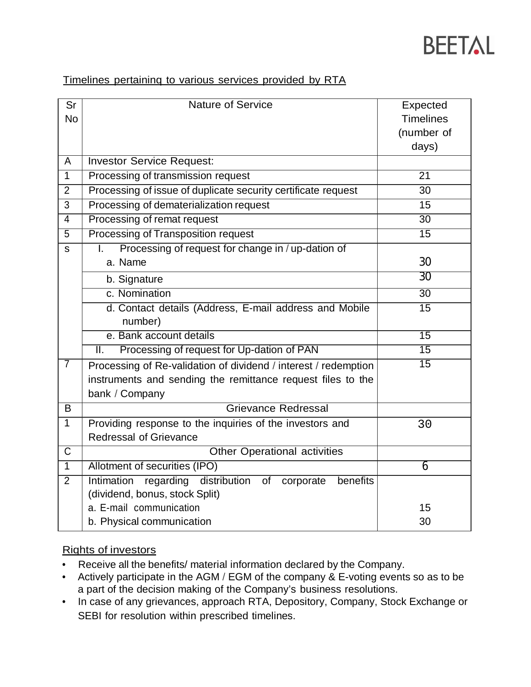

## Timelines pertaininq to various services provided by RTA

| Sr                    | <b>Nature of Service</b>                                                      | Expected         |
|-----------------------|-------------------------------------------------------------------------------|------------------|
| <b>No</b>             |                                                                               | <b>Timelines</b> |
|                       |                                                                               | (number of       |
|                       |                                                                               | days)            |
| A                     | <b>Investor Service Request:</b>                                              |                  |
| $\overline{1}$        | Processing of transmission request                                            | 21               |
| $\overline{2}$        | Processing of issue of duplicate security certificate request                 | 30               |
| 3                     | Processing of dematerialization request                                       | 15               |
| 4                     | Processing of remat request                                                   | $\overline{30}$  |
| $\overline{5}$        | <b>Processing of Transposition request</b>                                    | $\overline{15}$  |
| s                     | Processing of request for change in / up-dation of<br>I.                      |                  |
|                       | a. Name                                                                       | 30               |
|                       | b. Signature                                                                  | 30               |
|                       | c. Nomination                                                                 | $\overline{30}$  |
|                       | d. Contact details (Address, E-mail address and Mobile                        | $\overline{15}$  |
|                       | number)                                                                       |                  |
|                       | e. Bank account details                                                       | $\overline{15}$  |
|                       | Processing of request for Up-dation of PAN<br>Ш.                              | $\overline{15}$  |
| $\overline{7}$        | Processing of Re-validation of dividend / interest / redemption               | $\overline{15}$  |
|                       | instruments and sending the remittance request files to the                   |                  |
|                       | bank / Company                                                                |                  |
| B                     | <b>Grievance Redressal</b>                                                    |                  |
| $\mathbf{1}$          | Providing response to the inquiries of the investors and                      | 30               |
|                       | <b>Redressal of Grievance</b>                                                 |                  |
| $\overline{\text{C}}$ | <b>Other Operational activities</b>                                           |                  |
| $\overline{1}$        | Allotment of securities (IPO)                                                 | 6                |
| $\overline{2}$        | <b>Intimation</b><br>regarding<br>distribution<br>benefits<br>of<br>corporate |                  |
|                       | (dividend, bonus, stock Split)                                                |                  |
|                       | a. E-mail communication                                                       | 15               |
|                       | b. Physical communication                                                     | 30               |

#### Riqhts of investors

- Receive all the benefits/ material information declared by the Company.
- Actively participate in the AGM / EGM of the company & E-voting events so as to be a part of the decision making of the Company's business resolutions.
- In case of any grievances, approach RTA, Depository, Company, Stock Exchange or SEBI for resolution within prescribed timelines.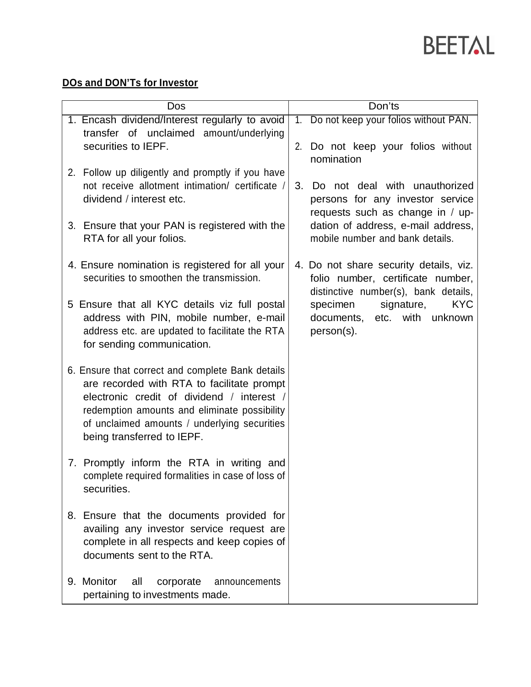

# **DOs and DON'Ts for Investor**

| Dos                                                                                                                                                                                                                                                                        | Don'ts                                                                                                                                                                                                    |  |
|----------------------------------------------------------------------------------------------------------------------------------------------------------------------------------------------------------------------------------------------------------------------------|-----------------------------------------------------------------------------------------------------------------------------------------------------------------------------------------------------------|--|
| 1. Encash dividend/Interest regularly to avoid<br>transfer of unclaimed amount/underlying                                                                                                                                                                                  | 1. Do not keep your folios without PAN.                                                                                                                                                                   |  |
| securities to IEPF.                                                                                                                                                                                                                                                        | 2. Do not keep your folios without<br>nomination                                                                                                                                                          |  |
| 2. Follow up diligently and promptly if you have<br>not receive allotment intimation/ certificate /<br>dividend / interest etc.                                                                                                                                            | 3.<br>Do not deal with unauthorized<br>persons for any investor service<br>requests such as change in / up-                                                                                               |  |
| 3. Ensure that your PAN is registered with the<br>RTA for all your folios.                                                                                                                                                                                                 | dation of address, e-mail address,<br>mobile number and bank details.                                                                                                                                     |  |
| 4. Ensure nomination is registered for all your<br>securities to smoothen the transmission.                                                                                                                                                                                | 4. Do not share security details, viz.<br>folio number, certificate number,<br>distinctive number(s), bank details,<br><b>KYC</b><br>signature,<br>specimen<br>documents, etc. with unknown<br>person(s). |  |
| 5 Ensure that all KYC details viz full postal<br>address with PIN, mobile number, e-mail<br>address etc. are updated to facilitate the RTA<br>for sending communication.                                                                                                   |                                                                                                                                                                                                           |  |
| 6. Ensure that correct and complete Bank details<br>are recorded with RTA to facilitate prompt<br>electronic credit of dividend / interest /<br>redemption amounts and eliminate possibility<br>of unclaimed amounts / underlying securities<br>being transferred to IEPF. |                                                                                                                                                                                                           |  |
| 7. Promptly inform the RTA in writing and<br>complete required formalities in case of loss of<br>securities.                                                                                                                                                               |                                                                                                                                                                                                           |  |
| 8. Ensure that the documents provided for<br>availing any investor service request are<br>complete in all respects and keep copies of<br>documents sent to the RTA.                                                                                                        |                                                                                                                                                                                                           |  |
| 9. Monitor<br>all<br>corporate<br>announcements<br>pertaining to investments made.                                                                                                                                                                                         |                                                                                                                                                                                                           |  |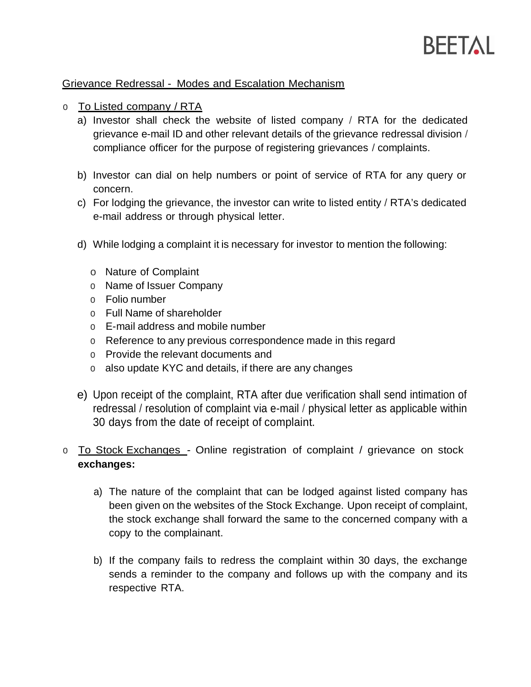

#### Grievance Redressal - Modes and Escalation Mechanism

- o To Listed company / RTA
	- a) Investor shall check the website of listed company / RTA for the dedicated grievance e-mail ID and other relevant details of the grievance redressal division / compliance officer for the purpose of registering grievances / complaints.
	- b) Investor can dial on help numbers or point of service of RTA for any query or concern.
	- c) For lodging the grievance, the investor can write to listed entity / RTA's dedicated e-mail address or through physical letter.
	- d) While lodging a complaint it is necessary for investor to mention the following:
		- o Nature of Complaint
		- o Name of Issuer Company
		- o Folio number
		- o Full Name of shareholder
		- o E-mail address and mobile number
		- o Reference to any previous correspondence made in this regard
		- o Provide the relevant documents and
		- o also update KYC and details, if there are any changes
	- e) Upon receipt of the complaint, RTA after due verification shall send intimation of redressal / resolution of complaint via e-mail / physical letter as applicable within 30 days from the date of receipt of complaint.
- o To Stock Exchanqes Online registration of complaint / grievance on stock **exchanges:**
	- a) The nature of the complaint that can be lodged against listed company has been given on the websites of the Stock Exchange. Upon receipt of complaint, the stock exchange shall forward the same to the concerned company with a copy to the complainant.
	- b) If the company fails to redress the complaint within 30 days, the exchange sends a reminder to the company and follows up with the company and its respective RTA.